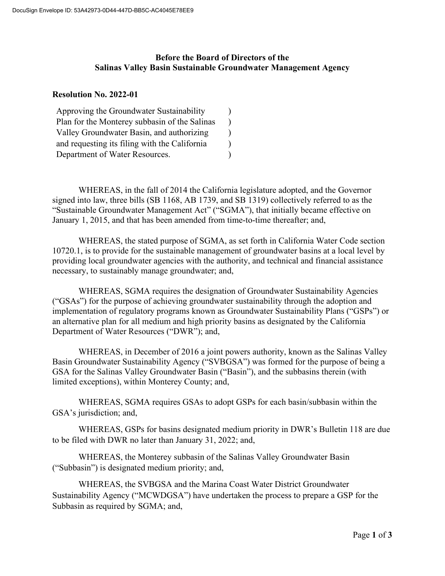## **Before the Board of Directors of the Salinas Valley Basin Sustainable Groundwater Management Agency**

## **Resolution No. 2022-01**

| Approving the Groundwater Sustainability      |  |
|-----------------------------------------------|--|
| Plan for the Monterey subbasin of the Salinas |  |
| Valley Groundwater Basin, and authorizing     |  |
| and requesting its filing with the California |  |
| Department of Water Resources.                |  |

WHEREAS, in the fall of 2014 the California legislature adopted, and the Governor signed into law, three bills (SB 1168, AB 1739, and SB 1319) collectively referred to as the "Sustainable Groundwater Management Act" ("SGMA"), that initially became effective on January 1, 2015, and that has been amended from time-to-time thereafter; and,

WHEREAS, the stated purpose of SGMA, as set forth in California Water Code section 10720.1, is to provide for the sustainable management of groundwater basins at a local level by providing local groundwater agencies with the authority, and technical and financial assistance necessary, to sustainably manage groundwater; and,

WHEREAS, SGMA requires the designation of Groundwater Sustainability Agencies ("GSAs") for the purpose of achieving groundwater sustainability through the adoption and implementation of regulatory programs known as Groundwater Sustainability Plans ("GSPs") or an alternative plan for all medium and high priority basins as designated by the California Department of Water Resources ("DWR"); and,

WHEREAS, in December of 2016 a joint powers authority, known as the Salinas Valley Basin Groundwater Sustainability Agency ("SVBGSA") was formed for the purpose of being a GSA for the Salinas Valley Groundwater Basin ("Basin"), and the subbasins therein (with limited exceptions), within Monterey County; and,

WHEREAS, SGMA requires GSAs to adopt GSPs for each basin/subbasin within the GSA's jurisdiction; and,

WHEREAS, GSPs for basins designated medium priority in DWR's Bulletin 118 are due to be filed with DWR no later than January 31, 2022; and,

WHEREAS, the Monterey subbasin of the Salinas Valley Groundwater Basin ("Subbasin") is designated medium priority; and,

WHEREAS, the SVBGSA and the Marina Coast Water District Groundwater Sustainability Agency ("MCWDGSA") have undertaken the process to prepare a GSP for the Subbasin as required by SGMA; and,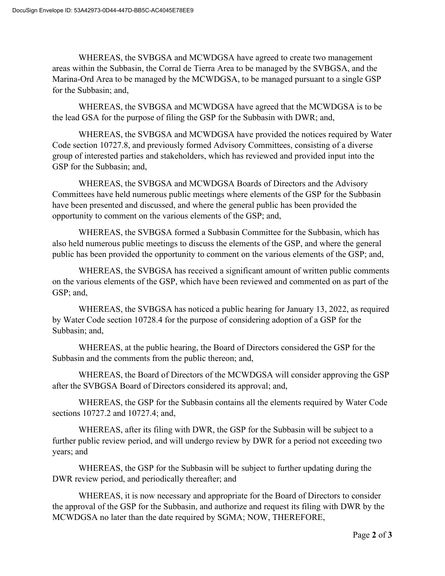WHEREAS, the SVBGSA and MCWDGSA have agreed to create two management areas within the Subbasin, the Corral de Tierra Area to be managed by the SVBGSA, and the Marina-Ord Area to be managed by the MCWDGSA, to be managed pursuant to a single GSP for the Subbasin; and,

WHEREAS, the SVBGSA and MCWDGSA have agreed that the MCWDGSA is to be the lead GSA for the purpose of filing the GSP for the Subbasin with DWR; and,

WHEREAS, the SVBGSA and MCWDGSA have provided the notices required by Water Code section 10727.8, and previously formed Advisory Committees, consisting of a diverse group of interested parties and stakeholders, which has reviewed and provided input into the GSP for the Subbasin; and,

WHEREAS, the SVBGSA and MCWDGSA Boards of Directors and the Advisory Committees have held numerous public meetings where elements of the GSP for the Subbasin have been presented and discussed, and where the general public has been provided the opportunity to comment on the various elements of the GSP; and,

WHEREAS, the SVBGSA formed a Subbasin Committee for the Subbasin, which has also held numerous public meetings to discuss the elements of the GSP, and where the general public has been provided the opportunity to comment on the various elements of the GSP; and,

WHEREAS, the SVBGSA has received a significant amount of written public comments on the various elements of the GSP, which have been reviewed and commented on as part of the GSP; and,

WHEREAS, the SVBGSA has noticed a public hearing for January 13, 2022, as required by Water Code section 10728.4 for the purpose of considering adoption of a GSP for the Subbasin; and,

WHEREAS, at the public hearing, the Board of Directors considered the GSP for the Subbasin and the comments from the public thereon; and,

WHEREAS, the Board of Directors of the MCWDGSA will consider approving the GSP after the SVBGSA Board of Directors considered its approval; and,

WHEREAS, the GSP for the Subbasin contains all the elements required by Water Code sections 10727.2 and 10727.4; and,

WHEREAS, after its filing with DWR, the GSP for the Subbasin will be subject to a further public review period, and will undergo review by DWR for a period not exceeding two years; and

WHEREAS, the GSP for the Subbasin will be subject to further updating during the DWR review period, and periodically thereafter; and

WHEREAS, it is now necessary and appropriate for the Board of Directors to consider the approval of the GSP for the Subbasin, and authorize and request its filing with DWR by the MCWDGSA no later than the date required by SGMA; NOW, THEREFORE,